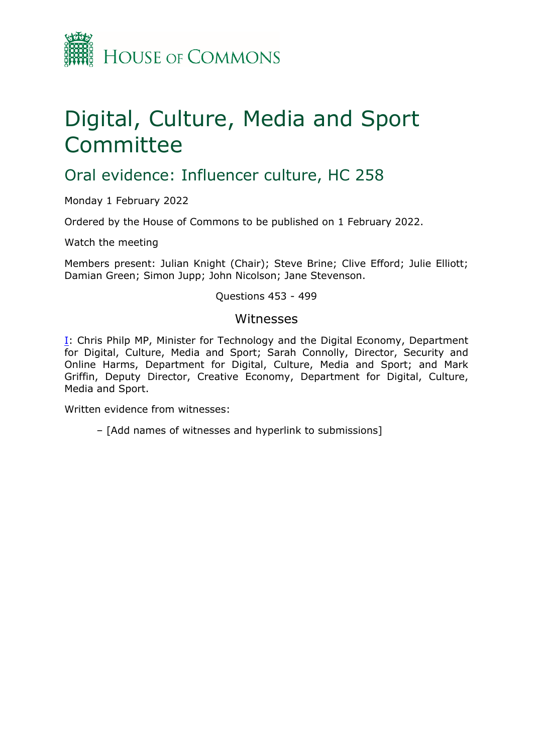

# Digital, Culture, Media and Sport Committee

## Oral evidence: Influencer culture, HC 258

Monday 1 February 2022

Ordered by the House of Commons to be published on 1 February 2022.

Watch the meeting

Members present: Julian Knight (Chair); Steve Brine; Clive Efford; Julie Elliott; Damian Green; Simon Jupp; John Nicolson; Jane Stevenson.

#### Questions 453 - 499

#### Witnesses

[I:](#page-1-0) Chris Philp MP, Minister for Technology and the Digital Economy, Department for Digital, Culture, Media and Sport; Sarah Connolly, Director, Security and Online Harms, Department for Digital, Culture, Media and Sport; and Mark Griffin, Deputy Director, Creative Economy, Department for Digital, Culture, Media and Sport.

Written evidence from witnesses:

– [Add names of witnesses and hyperlink to submissions]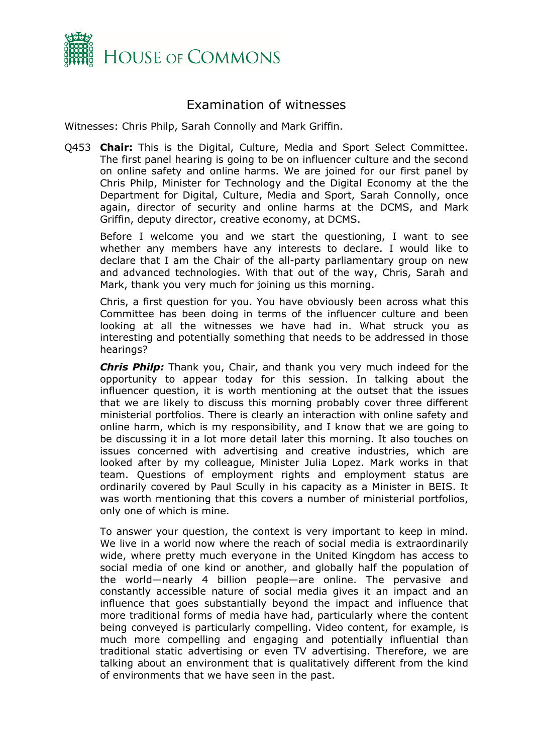

### <span id="page-1-0"></span>Examination of witnesses

Witnesses: Chris Philp, Sarah Connolly and Mark Griffin.

Q453 **Chair:** This is the Digital, Culture, Media and Sport Select Committee. The first panel hearing is going to be on influencer culture and the second on online safety and online harms. We are joined for our first panel by Chris Philp, Minister for Technology and the Digital Economy at the the Department for Digital, Culture, Media and Sport, Sarah Connolly, once again, director of security and online harms at the DCMS, and Mark Griffin, deputy director, creative economy, at DCMS.

Before I welcome you and we start the questioning, I want to see whether any members have any interests to declare. I would like to declare that I am the Chair of the all-party parliamentary group on new and advanced technologies. With that out of the way, Chris, Sarah and Mark, thank you very much for joining us this morning.

Chris, a first question for you. You have obviously been across what this Committee has been doing in terms of the influencer culture and been looking at all the witnesses we have had in. What struck you as interesting and potentially something that needs to be addressed in those hearings?

*Chris Philp:* Thank you, Chair, and thank you very much indeed for the opportunity to appear today for this session. In talking about the influencer question, it is worth mentioning at the outset that the issues that we are likely to discuss this morning probably cover three different ministerial portfolios. There is clearly an interaction with online safety and online harm, which is my responsibility, and I know that we are going to be discussing it in a lot more detail later this morning. It also touches on issues concerned with advertising and creative industries, which are looked after by my colleague, Minister Julia Lopez. Mark works in that team. Questions of employment rights and employment status are ordinarily covered by Paul Scully in his capacity as a Minister in BEIS. It was worth mentioning that this covers a number of ministerial portfolios, only one of which is mine.

To answer your question, the context is very important to keep in mind. We live in a world now where the reach of social media is extraordinarily wide, where pretty much everyone in the United Kingdom has access to social media of one kind or another, and globally half the population of the world—nearly 4 billion people—are online. The pervasive and constantly accessible nature of social media gives it an impact and an influence that goes substantially beyond the impact and influence that more traditional forms of media have had, particularly where the content being conveyed is particularly compelling. Video content, for example, is much more compelling and engaging and potentially influential than traditional static advertising or even TV advertising. Therefore, we are talking about an environment that is qualitatively different from the kind of environments that we have seen in the past.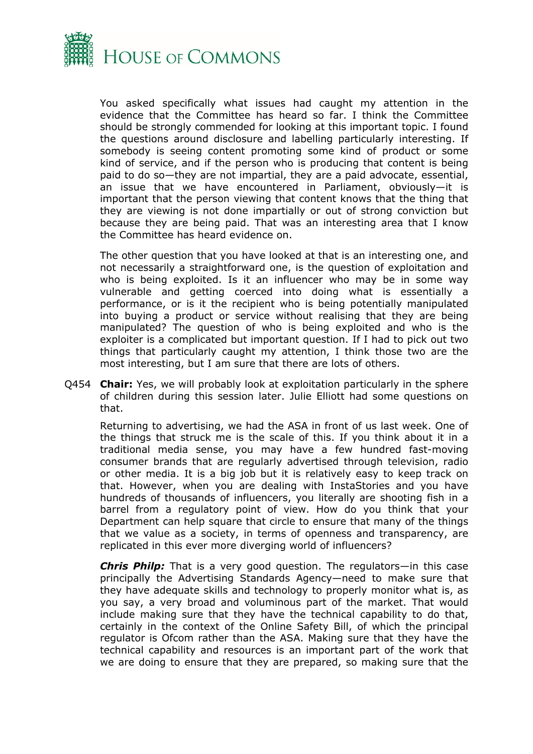

You asked specifically what issues had caught my attention in the evidence that the Committee has heard so far. I think the Committee should be strongly commended for looking at this important topic. I found the questions around disclosure and labelling particularly interesting. If somebody is seeing content promoting some kind of product or some kind of service, and if the person who is producing that content is being paid to do so—they are not impartial, they are a paid advocate, essential, an issue that we have encountered in Parliament, obviously—it is important that the person viewing that content knows that the thing that they are viewing is not done impartially or out of strong conviction but because they are being paid. That was an interesting area that I know the Committee has heard evidence on.

The other question that you have looked at that is an interesting one, and not necessarily a straightforward one, is the question of exploitation and who is being exploited. Is it an influencer who may be in some way vulnerable and getting coerced into doing what is essentially a performance, or is it the recipient who is being potentially manipulated into buying a product or service without realising that they are being manipulated? The question of who is being exploited and who is the exploiter is a complicated but important question. If I had to pick out two things that particularly caught my attention, I think those two are the most interesting, but I am sure that there are lots of others.

Q454 **Chair:** Yes, we will probably look at exploitation particularly in the sphere of children during this session later. Julie Elliott had some questions on that.

Returning to advertising, we had the ASA in front of us last week. One of the things that struck me is the scale of this. If you think about it in a traditional media sense, you may have a few hundred fast-moving consumer brands that are regularly advertised through television, radio or other media. It is a big job but it is relatively easy to keep track on that. However, when you are dealing with InstaStories and you have hundreds of thousands of influencers, you literally are shooting fish in a barrel from a regulatory point of view. How do you think that your Department can help square that circle to ensure that many of the things that we value as a society, in terms of openness and transparency, are replicated in this ever more diverging world of influencers?

*Chris Philp:* That is a very good question. The regulators—in this case principally the Advertising Standards Agency—need to make sure that they have adequate skills and technology to properly monitor what is, as you say, a very broad and voluminous part of the market. That would include making sure that they have the technical capability to do that, certainly in the context of the Online Safety Bill, of which the principal regulator is Ofcom rather than the ASA. Making sure that they have the technical capability and resources is an important part of the work that we are doing to ensure that they are prepared, so making sure that the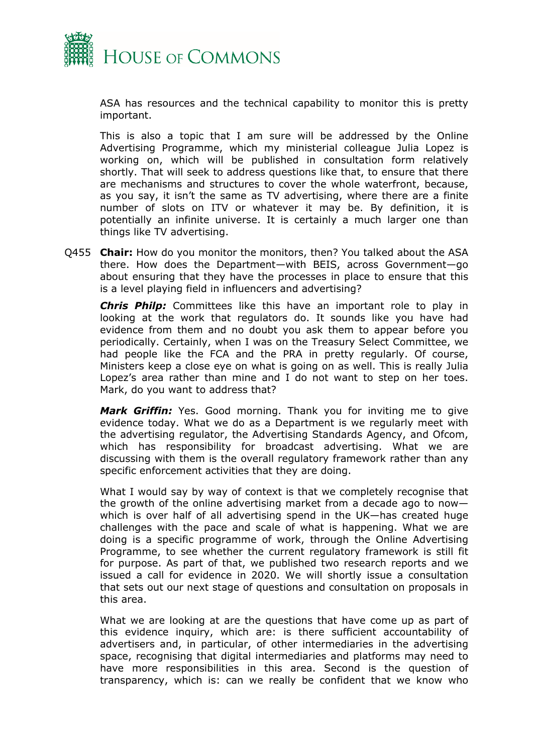

ASA has resources and the technical capability to monitor this is pretty important.

This is also a topic that I am sure will be addressed by the Online Advertising Programme, which my ministerial colleague Julia Lopez is working on, which will be published in consultation form relatively shortly. That will seek to address questions like that, to ensure that there are mechanisms and structures to cover the whole waterfront, because, as you say, it isn't the same as TV advertising, where there are a finite number of slots on ITV or whatever it may be. By definition, it is potentially an infinite universe. It is certainly a much larger one than things like TV advertising.

Q455 **Chair:** How do you monitor the monitors, then? You talked about the ASA there. How does the Department—with BEIS, across Government—go about ensuring that they have the processes in place to ensure that this is a level playing field in influencers and advertising?

*Chris Philp:* Committees like this have an important role to play in looking at the work that regulators do. It sounds like you have had evidence from them and no doubt you ask them to appear before you periodically. Certainly, when I was on the Treasury Select Committee, we had people like the FCA and the PRA in pretty regularly. Of course, Ministers keep a close eye on what is going on as well. This is really Julia Lopez's area rather than mine and I do not want to step on her toes. Mark, do you want to address that?

*Mark Griffin:* Yes. Good morning. Thank you for inviting me to give evidence today. What we do as a Department is we regularly meet with the advertising regulator, the Advertising Standards Agency, and Ofcom, which has responsibility for broadcast advertising. What we are discussing with them is the overall regulatory framework rather than any specific enforcement activities that they are doing.

What I would say by way of context is that we completely recognise that the growth of the online advertising market from a decade ago to now which is over half of all advertising spend in the UK—has created huge challenges with the pace and scale of what is happening. What we are doing is a specific programme of work, through the Online Advertising Programme, to see whether the current regulatory framework is still fit for purpose. As part of that, we published two research reports and we issued a call for evidence in 2020. We will shortly issue a consultation that sets out our next stage of questions and consultation on proposals in this area.

What we are looking at are the questions that have come up as part of this evidence inquiry, which are: is there sufficient accountability of advertisers and, in particular, of other intermediaries in the advertising space, recognising that digital intermediaries and platforms may need to have more responsibilities in this area. Second is the question of transparency, which is: can we really be confident that we know who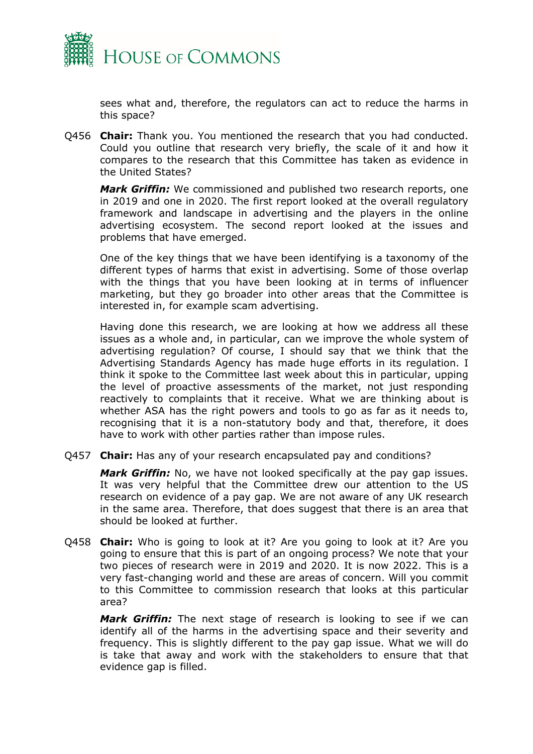

sees what and, therefore, the regulators can act to reduce the harms in this space?

Q456 **Chair:** Thank you. You mentioned the research that you had conducted. Could you outline that research very briefly, the scale of it and how it compares to the research that this Committee has taken as evidence in the United States?

*Mark Griffin:* We commissioned and published two research reports, one in 2019 and one in 2020. The first report looked at the overall regulatory framework and landscape in advertising and the players in the online advertising ecosystem. The second report looked at the issues and problems that have emerged.

One of the key things that we have been identifying is a taxonomy of the different types of harms that exist in advertising. Some of those overlap with the things that you have been looking at in terms of influencer marketing, but they go broader into other areas that the Committee is interested in, for example scam advertising.

Having done this research, we are looking at how we address all these issues as a whole and, in particular, can we improve the whole system of advertising regulation? Of course, I should say that we think that the Advertising Standards Agency has made huge efforts in its regulation. I think it spoke to the Committee last week about this in particular, upping the level of proactive assessments of the market, not just responding reactively to complaints that it receive. What we are thinking about is whether ASA has the right powers and tools to go as far as it needs to, recognising that it is a non-statutory body and that, therefore, it does have to work with other parties rather than impose rules.

Q457 **Chair:** Has any of your research encapsulated pay and conditions?

*Mark Griffin:* No, we have not looked specifically at the pay gap issues. It was very helpful that the Committee drew our attention to the US research on evidence of a pay gap. We are not aware of any UK research in the same area. Therefore, that does suggest that there is an area that should be looked at further.

Q458 **Chair:** Who is going to look at it? Are you going to look at it? Are you going to ensure that this is part of an ongoing process? We note that your two pieces of research were in 2019 and 2020. It is now 2022. This is a very fast-changing world and these are areas of concern. Will you commit to this Committee to commission research that looks at this particular area?

*Mark Griffin:* The next stage of research is looking to see if we can identify all of the harms in the advertising space and their severity and frequency. This is slightly different to the pay gap issue. What we will do is take that away and work with the stakeholders to ensure that that evidence gap is filled.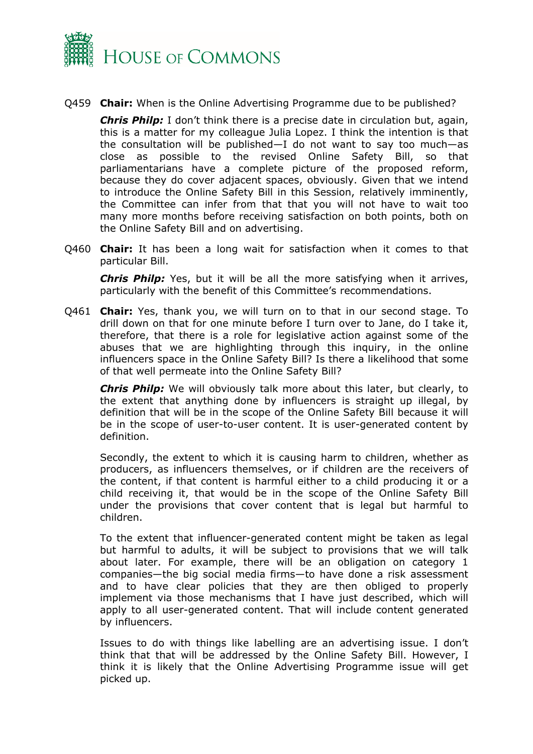

Q459 **Chair:** When is the Online Advertising Programme due to be published?

*Chris Philp:* I don't think there is a precise date in circulation but, again, this is a matter for my colleague Julia Lopez. I think the intention is that the consultation will be published—I do not want to say too much—as close as possible to the revised Online Safety Bill, so that parliamentarians have a complete picture of the proposed reform, because they do cover adjacent spaces, obviously. Given that we intend to introduce the Online Safety Bill in this Session, relatively imminently, the Committee can infer from that that you will not have to wait too many more months before receiving satisfaction on both points, both on the Online Safety Bill and on advertising.

Q460 **Chair:** It has been a long wait for satisfaction when it comes to that particular Bill.

*Chris Philp:* Yes, but it will be all the more satisfying when it arrives, particularly with the benefit of this Committee's recommendations.

Q461 **Chair:** Yes, thank you, we will turn on to that in our second stage. To drill down on that for one minute before I turn over to Jane, do I take it, therefore, that there is a role for legislative action against some of the abuses that we are highlighting through this inquiry, in the online influencers space in the Online Safety Bill? Is there a likelihood that some of that well permeate into the Online Safety Bill?

*Chris Philp:* We will obviously talk more about this later, but clearly, to the extent that anything done by influencers is straight up illegal, by definition that will be in the scope of the Online Safety Bill because it will be in the scope of user-to-user content. It is user-generated content by definition.

Secondly, the extent to which it is causing harm to children, whether as producers, as influencers themselves, or if children are the receivers of the content, if that content is harmful either to a child producing it or a child receiving it, that would be in the scope of the Online Safety Bill under the provisions that cover content that is legal but harmful to children.

To the extent that influencer-generated content might be taken as legal but harmful to adults, it will be subject to provisions that we will talk about later. For example, there will be an obligation on category 1 companies—the big social media firms—to have done a risk assessment and to have clear policies that they are then obliged to properly implement via those mechanisms that I have just described, which will apply to all user-generated content. That will include content generated by influencers.

Issues to do with things like labelling are an advertising issue. I don't think that that will be addressed by the Online Safety Bill. However, I think it is likely that the Online Advertising Programme issue will get picked up.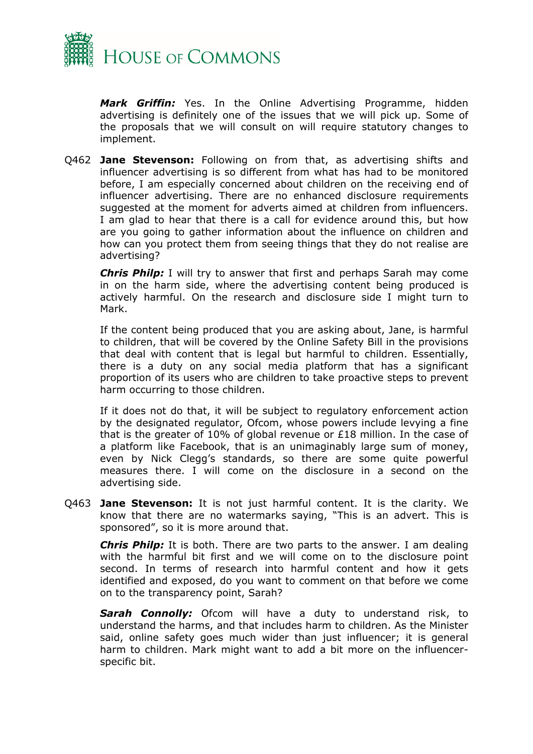

*Mark Griffin:* Yes. In the Online Advertising Programme, hidden advertising is definitely one of the issues that we will pick up. Some of the proposals that we will consult on will require statutory changes to implement.

Q462 **Jane Stevenson:** Following on from that, as advertising shifts and influencer advertising is so different from what has had to be monitored before, I am especially concerned about children on the receiving end of influencer advertising. There are no enhanced disclosure requirements suggested at the moment for adverts aimed at children from influencers. I am glad to hear that there is a call for evidence around this, but how are you going to gather information about the influence on children and how can you protect them from seeing things that they do not realise are advertising?

*Chris Philp:* I will try to answer that first and perhaps Sarah may come in on the harm side, where the advertising content being produced is actively harmful. On the research and disclosure side I might turn to Mark.

If the content being produced that you are asking about, Jane, is harmful to children, that will be covered by the Online Safety Bill in the provisions that deal with content that is legal but harmful to children. Essentially, there is a duty on any social media platform that has a significant proportion of its users who are children to take proactive steps to prevent harm occurring to those children.

If it does not do that, it will be subject to regulatory enforcement action by the designated regulator, Ofcom, whose powers include levying a fine that is the greater of 10% of global revenue or £18 million. In the case of a platform like Facebook, that is an unimaginably large sum of money, even by Nick Clegg's standards, so there are some quite powerful measures there. I will come on the disclosure in a second on the advertising side.

Q463 **Jane Stevenson:** It is not just harmful content. It is the clarity. We know that there are no watermarks saying, "This is an advert. This is sponsored", so it is more around that.

*Chris Philp:* It is both. There are two parts to the answer. I am dealing with the harmful bit first and we will come on to the disclosure point second. In terms of research into harmful content and how it gets identified and exposed, do you want to comment on that before we come on to the transparency point, Sarah?

*Sarah Connolly:* Ofcom will have a duty to understand risk, to understand the harms, and that includes harm to children. As the Minister said, online safety goes much wider than just influencer; it is general harm to children. Mark might want to add a bit more on the influencerspecific bit.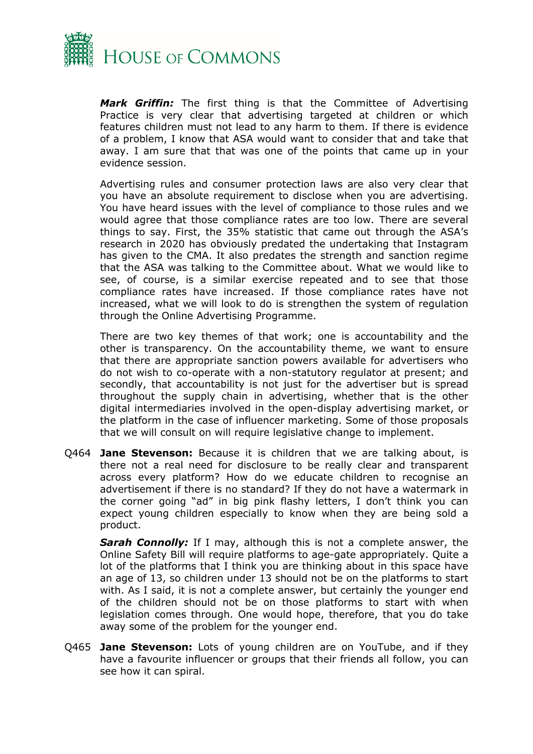

*Mark Griffin:* The first thing is that the Committee of Advertising Practice is very clear that advertising targeted at children or which features children must not lead to any harm to them. If there is evidence of a problem, I know that ASA would want to consider that and take that away. I am sure that that was one of the points that came up in your evidence session.

Advertising rules and consumer protection laws are also very clear that you have an absolute requirement to disclose when you are advertising. You have heard issues with the level of compliance to those rules and we would agree that those compliance rates are too low. There are several things to say. First, the 35% statistic that came out through the ASA's research in 2020 has obviously predated the undertaking that Instagram has given to the CMA. It also predates the strength and sanction regime that the ASA was talking to the Committee about. What we would like to see, of course, is a similar exercise repeated and to see that those compliance rates have increased. If those compliance rates have not increased, what we will look to do is strengthen the system of regulation through the Online Advertising Programme.

There are two key themes of that work; one is accountability and the other is transparency. On the accountability theme, we want to ensure that there are appropriate sanction powers available for advertisers who do not wish to co-operate with a non-statutory regulator at present; and secondly, that accountability is not just for the advertiser but is spread throughout the supply chain in advertising, whether that is the other digital intermediaries involved in the open-display advertising market, or the platform in the case of influencer marketing. Some of those proposals that we will consult on will require legislative change to implement.

Q464 **Jane Stevenson:** Because it is children that we are talking about, is there not a real need for disclosure to be really clear and transparent across every platform? How do we educate children to recognise an advertisement if there is no standard? If they do not have a watermark in the corner going "ad" in big pink flashy letters, I don't think you can expect young children especially to know when they are being sold a product.

*Sarah Connolly:* If I may, although this is not a complete answer, the Online Safety Bill will require platforms to age-gate appropriately. Quite a lot of the platforms that I think you are thinking about in this space have an age of 13, so children under 13 should not be on the platforms to start with. As I said, it is not a complete answer, but certainly the younger end of the children should not be on those platforms to start with when legislation comes through. One would hope, therefore, that you do take away some of the problem for the younger end.

Q465 **Jane Stevenson:** Lots of young children are on YouTube, and if they have a favourite influencer or groups that their friends all follow, you can see how it can spiral.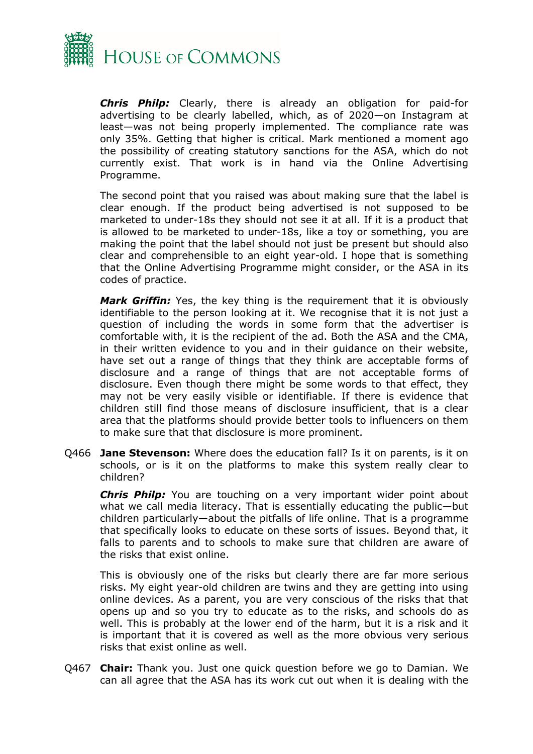

*Chris Philp:* Clearly, there is already an obligation for paid-for advertising to be clearly labelled, which, as of 2020—on Instagram at least—was not being properly implemented. The compliance rate was only 35%. Getting that higher is critical. Mark mentioned a moment ago the possibility of creating statutory sanctions for the ASA, which do not currently exist. That work is in hand via the Online Advertising Programme.

The second point that you raised was about making sure that the label is clear enough. If the product being advertised is not supposed to be marketed to under-18s they should not see it at all. If it is a product that is allowed to be marketed to under-18s, like a toy or something, you are making the point that the label should not just be present but should also clear and comprehensible to an eight year-old. I hope that is something that the Online Advertising Programme might consider, or the ASA in its codes of practice.

*Mark Griffin:* Yes, the key thing is the requirement that it is obviously identifiable to the person looking at it. We recognise that it is not just a question of including the words in some form that the advertiser is comfortable with, it is the recipient of the ad. Both the ASA and the CMA, in their written evidence to you and in their guidance on their website, have set out a range of things that they think are acceptable forms of disclosure and a range of things that are not acceptable forms of disclosure. Even though there might be some words to that effect, they may not be very easily visible or identifiable. If there is evidence that children still find those means of disclosure insufficient, that is a clear area that the platforms should provide better tools to influencers on them to make sure that that disclosure is more prominent.

Q466 **Jane Stevenson:** Where does the education fall? Is it on parents, is it on schools, or is it on the platforms to make this system really clear to children?

*Chris Philp:* You are touching on a very important wider point about what we call media literacy. That is essentially educating the public—but children particularly—about the pitfalls of life online. That is a programme that specifically looks to educate on these sorts of issues. Beyond that, it falls to parents and to schools to make sure that children are aware of the risks that exist online.

This is obviously one of the risks but clearly there are far more serious risks. My eight year-old children are twins and they are getting into using online devices. As a parent, you are very conscious of the risks that that opens up and so you try to educate as to the risks, and schools do as well. This is probably at the lower end of the harm, but it is a risk and it is important that it is covered as well as the more obvious very serious risks that exist online as well.

Q467 **Chair:** Thank you. Just one quick question before we go to Damian. We can all agree that the ASA has its work cut out when it is dealing with the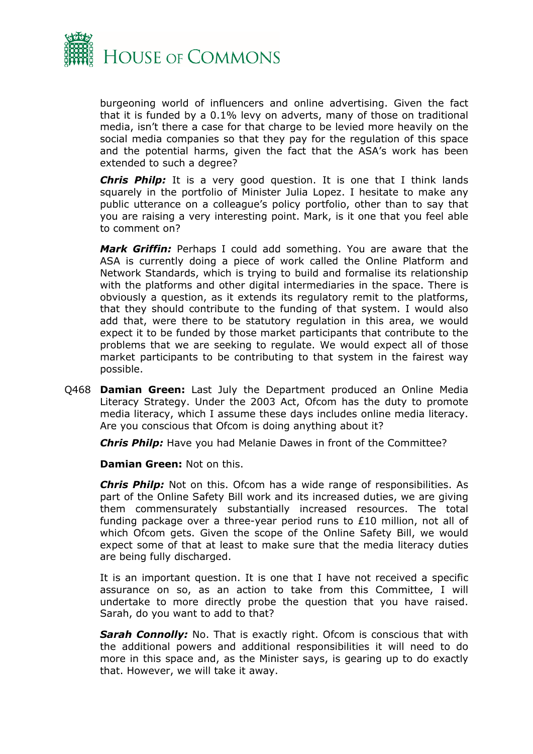

burgeoning world of influencers and online advertising. Given the fact that it is funded by a 0.1% levy on adverts, many of those on traditional media, isn't there a case for that charge to be levied more heavily on the social media companies so that they pay for the regulation of this space and the potential harms, given the fact that the ASA's work has been extended to such a degree?

*Chris Philp:* It is a very good question. It is one that I think lands squarely in the portfolio of Minister Julia Lopez. I hesitate to make any public utterance on a colleague's policy portfolio, other than to say that you are raising a very interesting point. Mark, is it one that you feel able to comment on?

*Mark Griffin:* Perhaps I could add something. You are aware that the ASA is currently doing a piece of work called the Online Platform and Network Standards, which is trying to build and formalise its relationship with the platforms and other digital intermediaries in the space. There is obviously a question, as it extends its regulatory remit to the platforms, that they should contribute to the funding of that system. I would also add that, were there to be statutory regulation in this area, we would expect it to be funded by those market participants that contribute to the problems that we are seeking to regulate. We would expect all of those market participants to be contributing to that system in the fairest way possible.

Q468 **Damian Green:** Last July the Department produced an Online Media Literacy Strategy. Under the 2003 Act, Ofcom has the duty to promote media literacy, which I assume these days includes online media literacy. Are you conscious that Ofcom is doing anything about it?

*Chris Philp:* Have you had Melanie Dawes in front of the Committee?

**Damian Green:** Not on this.

*Chris Philp:* Not on this. Ofcom has a wide range of responsibilities. As part of the Online Safety Bill work and its increased duties, we are giving them commensurately substantially increased resources. The total funding package over a three-year period runs to £10 million, not all of which Ofcom gets. Given the scope of the Online Safety Bill, we would expect some of that at least to make sure that the media literacy duties are being fully discharged.

It is an important question. It is one that I have not received a specific assurance on so, as an action to take from this Committee, I will undertake to more directly probe the question that you have raised. Sarah, do you want to add to that?

**Sarah Connolly:** No. That is exactly right. Ofcom is conscious that with the additional powers and additional responsibilities it will need to do more in this space and, as the Minister says, is gearing up to do exactly that. However, we will take it away.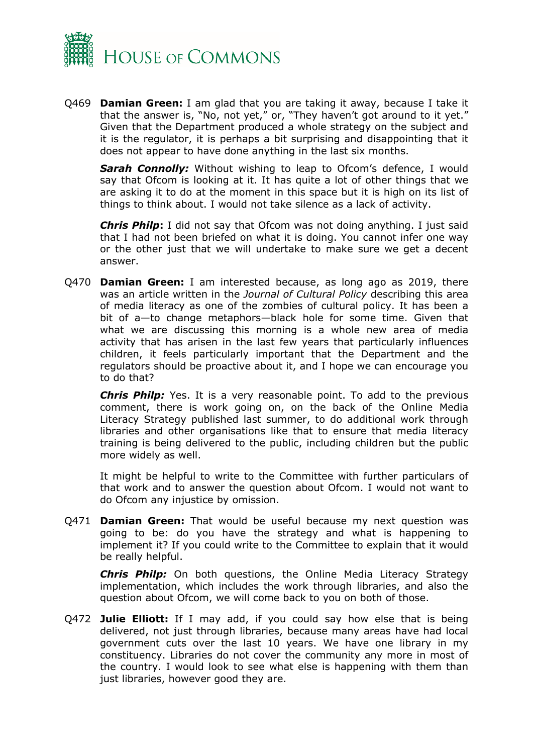

Q469 **Damian Green:** I am glad that you are taking it away, because I take it that the answer is, "No, not yet," or, "They haven't got around to it yet." Given that the Department produced a whole strategy on the subject and it is the regulator, it is perhaps a bit surprising and disappointing that it does not appear to have done anything in the last six months.

**Sarah Connolly:** Without wishing to leap to Ofcom's defence, I would say that Ofcom is looking at it. It has quite a lot of other things that we are asking it to do at the moment in this space but it is high on its list of things to think about. I would not take silence as a lack of activity.

*Chris Philp***:** I did not say that Ofcom was not doing anything. I just said that I had not been briefed on what it is doing. You cannot infer one way or the other just that we will undertake to make sure we get a decent answer.

Q470 **Damian Green:** I am interested because, as long ago as 2019, there was an article written in the *Journal of Cultural Policy* describing this area of media literacy as one of the zombies of cultural policy. It has been a bit of a—to change metaphors—black hole for some time. Given that what we are discussing this morning is a whole new area of media activity that has arisen in the last few years that particularly influences children, it feels particularly important that the Department and the regulators should be proactive about it, and I hope we can encourage you to do that?

*Chris Philp:* Yes. It is a very reasonable point. To add to the previous comment, there is work going on, on the back of the Online Media Literacy Strategy published last summer, to do additional work through libraries and other organisations like that to ensure that media literacy training is being delivered to the public, including children but the public more widely as well.

It might be helpful to write to the Committee with further particulars of that work and to answer the question about Ofcom. I would not want to do Ofcom any injustice by omission.

Q471 **Damian Green:** That would be useful because my next question was going to be: do you have the strategy and what is happening to implement it? If you could write to the Committee to explain that it would be really helpful.

*Chris Philp:* On both questions, the Online Media Literacy Strategy implementation, which includes the work through libraries, and also the question about Ofcom, we will come back to you on both of those.

Q472 **Julie Elliott:** If I may add, if you could say how else that is being delivered, not just through libraries, because many areas have had local government cuts over the last 10 years. We have one library in my constituency. Libraries do not cover the community any more in most of the country. I would look to see what else is happening with them than just libraries, however good they are.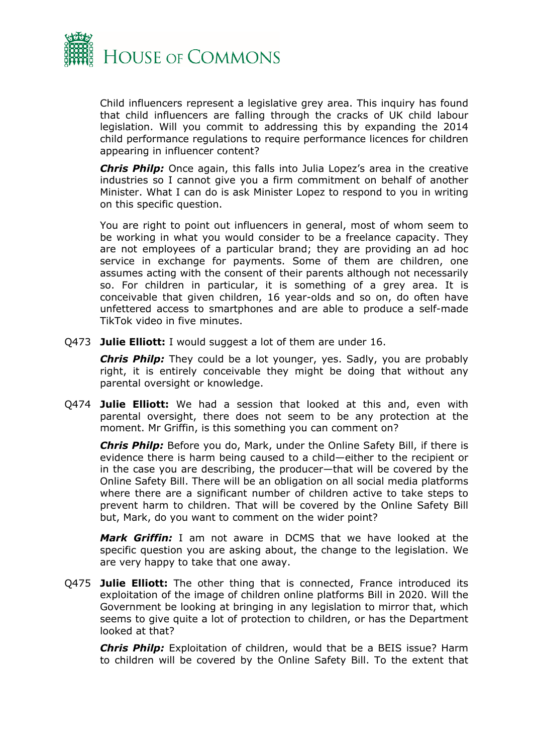

Child influencers represent a legislative grey area. This inquiry has found that child influencers are falling through the cracks of UK child labour legislation. Will you commit to addressing this by expanding the 2014 child performance regulations to require performance licences for children appearing in influencer content?

*Chris Philp:* Once again, this falls into Julia Lopez's area in the creative industries so I cannot give you a firm commitment on behalf of another Minister. What I can do is ask Minister Lopez to respond to you in writing on this specific question.

You are right to point out influencers in general, most of whom seem to be working in what you would consider to be a freelance capacity. They are not employees of a particular brand; they are providing an ad hoc service in exchange for payments. Some of them are children, one assumes acting with the consent of their parents although not necessarily so. For children in particular, it is something of a grey area. It is conceivable that given children, 16 year-olds and so on, do often have unfettered access to smartphones and are able to produce a self-made TikTok video in five minutes.

Q473 **Julie Elliott:** I would suggest a lot of them are under 16.

*Chris Philp:* They could be a lot younger, yes. Sadly, you are probably right, it is entirely conceivable they might be doing that without any parental oversight or knowledge.

Q474 **Julie Elliott:** We had a session that looked at this and, even with parental oversight, there does not seem to be any protection at the moment. Mr Griffin, is this something you can comment on?

*Chris Philp:* Before you do, Mark, under the Online Safety Bill, if there is evidence there is harm being caused to a child—either to the recipient or in the case you are describing, the producer—that will be covered by the Online Safety Bill. There will be an obligation on all social media platforms where there are a significant number of children active to take steps to prevent harm to children. That will be covered by the Online Safety Bill but, Mark, do you want to comment on the wider point?

*Mark Griffin:* I am not aware in DCMS that we have looked at the specific question you are asking about, the change to the legislation. We are very happy to take that one away.

Q475 **Julie Elliott:** The other thing that is connected, France introduced its exploitation of the image of children online platforms Bill in 2020. Will the Government be looking at bringing in any legislation to mirror that, which seems to give quite a lot of protection to children, or has the Department looked at that?

*Chris Philp:* Exploitation of children, would that be a BEIS issue? Harm to children will be covered by the Online Safety Bill. To the extent that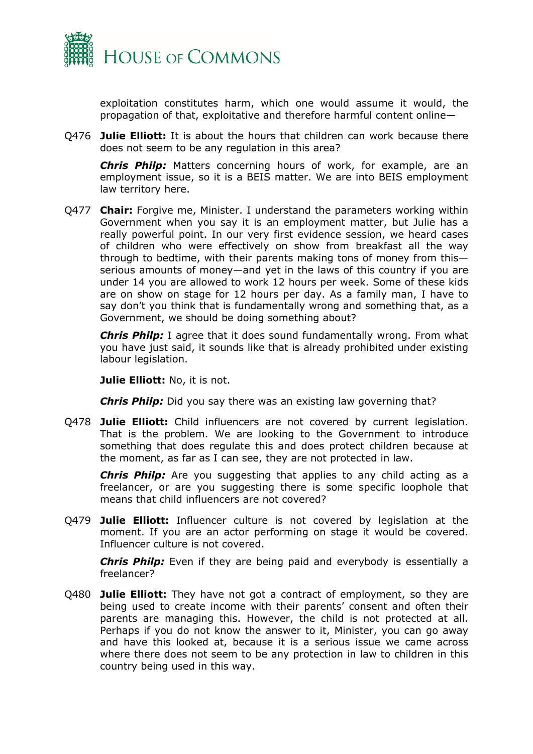

exploitation constitutes harm, which one would assume it would, the propagation of that, exploitative and therefore harmful content online—

Q476 **Julie Elliott:** It is about the hours that children can work because there does not seem to be any regulation in this area?

*Chris Philp:* Matters concerning hours of work, for example, are an employment issue, so it is a BEIS matter. We are into BEIS employment law territory here.

Q477 **Chair:** Forgive me, Minister. I understand the parameters working within Government when you say it is an employment matter, but Julie has a really powerful point. In our very first evidence session, we heard cases of children who were effectively on show from breakfast all the way through to bedtime, with their parents making tons of money from this serious amounts of money—and yet in the laws of this country if you are under 14 you are allowed to work 12 hours per week. Some of these kids are on show on stage for 12 hours per day. As a family man, I have to say don't you think that is fundamentally wrong and something that, as a Government, we should be doing something about?

*Chris Philp:* I agree that it does sound fundamentally wrong. From what you have just said, it sounds like that is already prohibited under existing labour legislation.

**Julie Elliott:** No, it is not.

*Chris Philp:* Did you say there was an existing law governing that?

Q478 **Julie Elliott:** Child influencers are not covered by current legislation. That is the problem. We are looking to the Government to introduce something that does regulate this and does protect children because at the moment, as far as I can see, they are not protected in law.

*Chris Philp:* Are you suggesting that applies to any child acting as a freelancer, or are you suggesting there is some specific loophole that means that child influencers are not covered?

Q479 **Julie Elliott:** Influencer culture is not covered by legislation at the moment. If you are an actor performing on stage it would be covered. Influencer culture is not covered.

*Chris Philp:* Even if they are being paid and everybody is essentially a freelancer?

Q480 **Julie Elliott:** They have not got a contract of employment, so they are being used to create income with their parents' consent and often their parents are managing this. However, the child is not protected at all. Perhaps if you do not know the answer to it, Minister, you can go away and have this looked at, because it is a serious issue we came across where there does not seem to be any protection in law to children in this country being used in this way.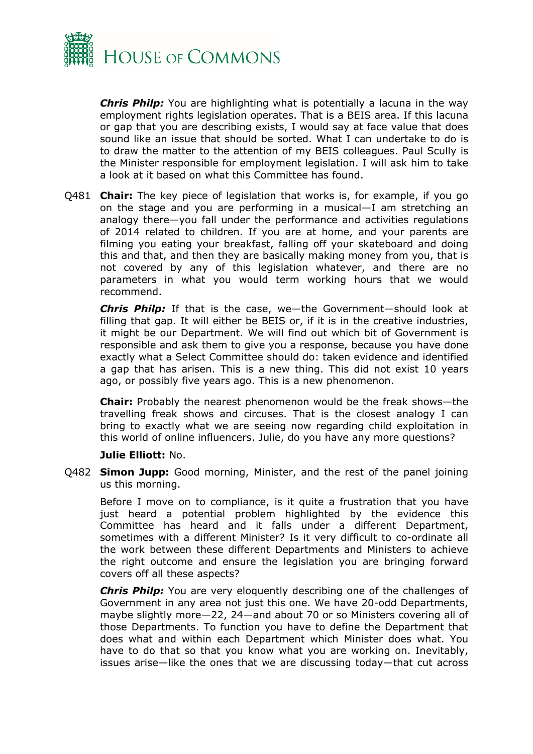

*Chris Philp:* You are highlighting what is potentially a lacuna in the way employment rights legislation operates. That is a BEIS area. If this lacuna or gap that you are describing exists, I would say at face value that does sound like an issue that should be sorted. What I can undertake to do is to draw the matter to the attention of my BEIS colleagues. Paul Scully is the Minister responsible for employment legislation. I will ask him to take a look at it based on what this Committee has found.

Q481 **Chair:** The key piece of legislation that works is, for example, if you go on the stage and you are performing in a musical—I am stretching an analogy there—you fall under the performance and activities regulations of 2014 related to children. If you are at home, and your parents are filming you eating your breakfast, falling off your skateboard and doing this and that, and then they are basically making money from you, that is not covered by any of this legislation whatever, and there are no parameters in what you would term working hours that we would recommend.

*Chris Philp:* If that is the case, we—the Government—should look at filling that gap. It will either be BEIS or, if it is in the creative industries, it might be our Department. We will find out which bit of Government is responsible and ask them to give you a response, because you have done exactly what a Select Committee should do: taken evidence and identified a gap that has arisen. This is a new thing. This did not exist 10 years ago, or possibly five years ago. This is a new phenomenon.

**Chair:** Probably the nearest phenomenon would be the freak shows—the travelling freak shows and circuses. That is the closest analogy I can bring to exactly what we are seeing now regarding child exploitation in this world of online influencers. Julie, do you have any more questions?

#### **Julie Elliott:** No.

Q482 **Simon Jupp:** Good morning, Minister, and the rest of the panel joining us this morning.

Before I move on to compliance, is it quite a frustration that you have just heard a potential problem highlighted by the evidence this Committee has heard and it falls under a different Department, sometimes with a different Minister? Is it very difficult to co-ordinate all the work between these different Departments and Ministers to achieve the right outcome and ensure the legislation you are bringing forward covers off all these aspects?

*Chris Philp:* You are very eloquently describing one of the challenges of Government in any area not just this one. We have 20-odd Departments, maybe slightly more—22, 24—and about 70 or so Ministers covering all of those Departments. To function you have to define the Department that does what and within each Department which Minister does what. You have to do that so that you know what you are working on. Inevitably, issues arise—like the ones that we are discussing today—that cut across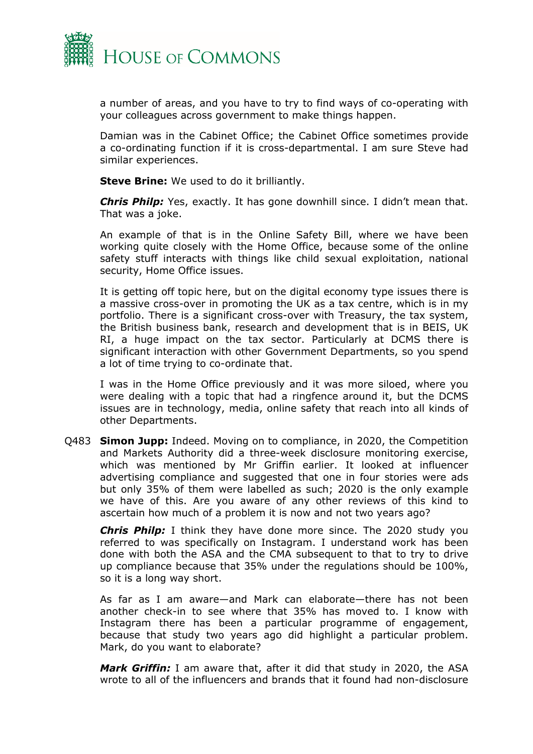

a number of areas, and you have to try to find ways of co-operating with your colleagues across government to make things happen.

Damian was in the Cabinet Office; the Cabinet Office sometimes provide a co-ordinating function if it is cross-departmental. I am sure Steve had similar experiences.

**Steve Brine:** We used to do it brilliantly.

*Chris Philp:* Yes, exactly. It has gone downhill since. I didn't mean that. That was a joke.

An example of that is in the Online Safety Bill, where we have been working quite closely with the Home Office, because some of the online safety stuff interacts with things like child sexual exploitation, national security, Home Office issues.

It is getting off topic here, but on the digital economy type issues there is a massive cross-over in promoting the UK as a tax centre, which is in my portfolio. There is a significant cross-over with Treasury, the tax system, the British business bank, research and development that is in BEIS, UK RI, a huge impact on the tax sector. Particularly at DCMS there is significant interaction with other Government Departments, so you spend a lot of time trying to co-ordinate that.

I was in the Home Office previously and it was more siloed, where you were dealing with a topic that had a ringfence around it, but the DCMS issues are in technology, media, online safety that reach into all kinds of other Departments.

Q483 **Simon Jupp:** Indeed. Moving on to compliance, in 2020, the Competition and Markets Authority did a three-week disclosure monitoring exercise, which was mentioned by Mr Griffin earlier. It looked at influencer advertising compliance and suggested that one in four stories were ads but only 35% of them were labelled as such; 2020 is the only example we have of this. Are you aware of any other reviews of this kind to ascertain how much of a problem it is now and not two years ago?

*Chris Philp:* I think they have done more since. The 2020 study you referred to was specifically on Instagram. I understand work has been done with both the ASA and the CMA subsequent to that to try to drive up compliance because that 35% under the regulations should be 100%, so it is a long way short.

As far as I am aware—and Mark can elaborate—there has not been another check-in to see where that 35% has moved to. I know with Instagram there has been a particular programme of engagement, because that study two years ago did highlight a particular problem. Mark, do you want to elaborate?

*Mark Griffin:* I am aware that, after it did that study in 2020, the ASA wrote to all of the influencers and brands that it found had non-disclosure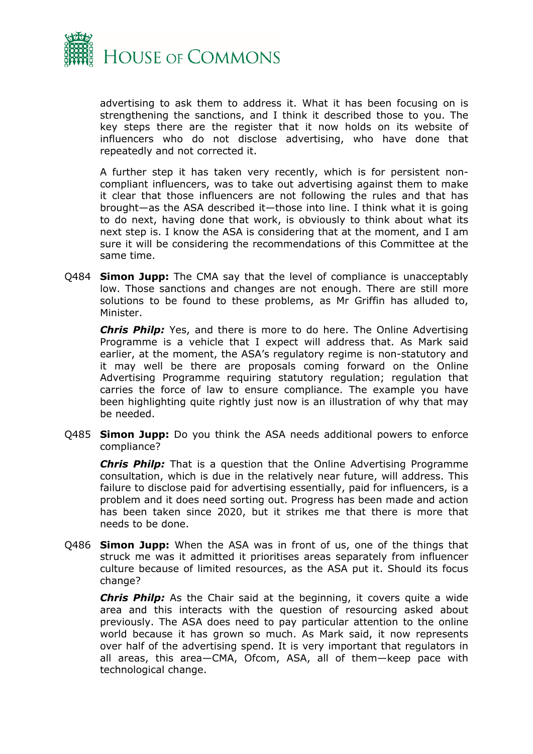

advertising to ask them to address it. What it has been focusing on is strengthening the sanctions, and I think it described those to you. The key steps there are the register that it now holds on its website of influencers who do not disclose advertising, who have done that repeatedly and not corrected it.

A further step it has taken very recently, which is for persistent noncompliant influencers, was to take out advertising against them to make it clear that those influencers are not following the rules and that has brought—as the ASA described it—those into line. I think what it is going to do next, having done that work, is obviously to think about what its next step is. I know the ASA is considering that at the moment, and I am sure it will be considering the recommendations of this Committee at the same time.

Q484 **Simon Jupp:** The CMA say that the level of compliance is unacceptably low. Those sanctions and changes are not enough. There are still more solutions to be found to these problems, as Mr Griffin has alluded to, Minister.

*Chris Philp:* Yes, and there is more to do here. The Online Advertising Programme is a vehicle that I expect will address that. As Mark said earlier, at the moment, the ASA's regulatory regime is non-statutory and it may well be there are proposals coming forward on the Online Advertising Programme requiring statutory regulation; regulation that carries the force of law to ensure compliance. The example you have been highlighting quite rightly just now is an illustration of why that may be needed.

Q485 **Simon Jupp:** Do you think the ASA needs additional powers to enforce compliance?

*Chris Philp:* That is a question that the Online Advertising Programme consultation, which is due in the relatively near future, will address. This failure to disclose paid for advertising essentially, paid for influencers, is a problem and it does need sorting out. Progress has been made and action has been taken since 2020, but it strikes me that there is more that needs to be done.

Q486 **Simon Jupp:** When the ASA was in front of us, one of the things that struck me was it admitted it prioritises areas separately from influencer culture because of limited resources, as the ASA put it. Should its focus change?

*Chris Philp:* As the Chair said at the beginning, it covers quite a wide area and this interacts with the question of resourcing asked about previously. The ASA does need to pay particular attention to the online world because it has grown so much. As Mark said, it now represents over half of the advertising spend. It is very important that regulators in all areas, this area—CMA, Ofcom, ASA, all of them—keep pace with technological change.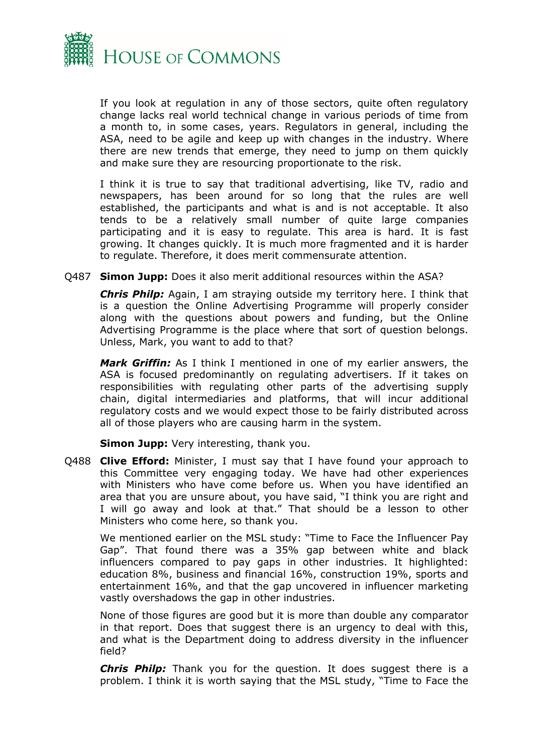

If you look at regulation in any of those sectors, quite often regulatory change lacks real world technical change in various periods of time from a month to, in some cases, years. Regulators in general, including the ASA, need to be agile and keep up with changes in the industry. Where there are new trends that emerge, they need to jump on them quickly and make sure they are resourcing proportionate to the risk.

I think it is true to say that traditional advertising, like TV, radio and newspapers, has been around for so long that the rules are well established, the participants and what is and is not acceptable. It also tends to be a relatively small number of quite large companies participating and it is easy to regulate. This area is hard. It is fast growing. It changes quickly. It is much more fragmented and it is harder to regulate. Therefore, it does merit commensurate attention.

Q487 **Simon Jupp:** Does it also merit additional resources within the ASA?

*Chris Philp:* Again, I am straying outside my territory here. I think that is a question the Online Advertising Programme will properly consider along with the questions about powers and funding, but the Online Advertising Programme is the place where that sort of question belongs. Unless, Mark, you want to add to that?

*Mark Griffin:* As I think I mentioned in one of my earlier answers, the ASA is focused predominantly on regulating advertisers. If it takes on responsibilities with regulating other parts of the advertising supply chain, digital intermediaries and platforms, that will incur additional regulatory costs and we would expect those to be fairly distributed across all of those players who are causing harm in the system.

**Simon Jupp:** Very interesting, thank you.

Q488 **Clive Efford:** Minister, I must say that I have found your approach to this Committee very engaging today. We have had other experiences with Ministers who have come before us. When you have identified an area that you are unsure about, you have said, "I think you are right and I will go away and look at that." That should be a lesson to other Ministers who come here, so thank you.

We mentioned earlier on the MSL study: "Time to Face the Influencer Pay Gap". That found there was a 35% gap between white and black influencers compared to pay gaps in other industries. It highlighted: education 8%, business and financial 16%, construction 19%, sports and entertainment 16%, and that the gap uncovered in influencer marketing vastly overshadows the gap in other industries.

None of those figures are good but it is more than double any comparator in that report. Does that suggest there is an urgency to deal with this, and what is the Department doing to address diversity in the influencer field?

*Chris Philp:* Thank you for the question. It does suggest there is a problem. I think it is worth saying that the MSL study, "Time to Face the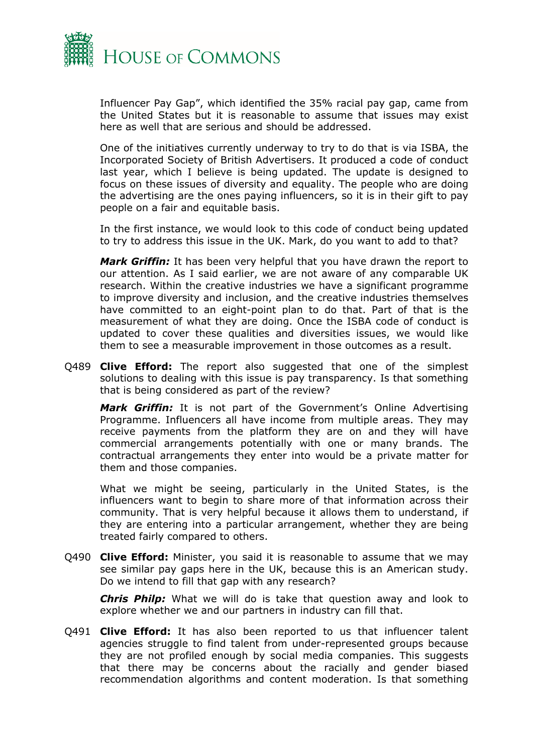

Influencer Pay Gap", which identified the 35% racial pay gap, came from the United States but it is reasonable to assume that issues may exist here as well that are serious and should be addressed.

One of the initiatives currently underway to try to do that is via ISBA, the Incorporated Society of British Advertisers. It produced a code of conduct last year, which I believe is being updated. The update is designed to focus on these issues of diversity and equality. The people who are doing the advertising are the ones paying influencers, so it is in their gift to pay people on a fair and equitable basis.

In the first instance, we would look to this code of conduct being updated to try to address this issue in the UK. Mark, do you want to add to that?

*Mark Griffin:* It has been very helpful that you have drawn the report to our attention. As I said earlier, we are not aware of any comparable UK research. Within the creative industries we have a significant programme to improve diversity and inclusion, and the creative industries themselves have committed to an eight-point plan to do that. Part of that is the measurement of what they are doing. Once the ISBA code of conduct is updated to cover these qualities and diversities issues, we would like them to see a measurable improvement in those outcomes as a result.

Q489 **Clive Efford:** The report also suggested that one of the simplest solutions to dealing with this issue is pay transparency. Is that something that is being considered as part of the review?

*Mark Griffin:* It is not part of the Government's Online Advertising Programme. Influencers all have income from multiple areas. They may receive payments from the platform they are on and they will have commercial arrangements potentially with one or many brands. The contractual arrangements they enter into would be a private matter for them and those companies.

What we might be seeing, particularly in the United States, is the influencers want to begin to share more of that information across their community. That is very helpful because it allows them to understand, if they are entering into a particular arrangement, whether they are being treated fairly compared to others.

Q490 **Clive Efford:** Minister, you said it is reasonable to assume that we may see similar pay gaps here in the UK, because this is an American study. Do we intend to fill that gap with any research?

*Chris Philp:* What we will do is take that question away and look to explore whether we and our partners in industry can fill that.

Q491 **Clive Efford:** It has also been reported to us that influencer talent agencies struggle to find talent from under-represented groups because they are not profiled enough by social media companies. This suggests that there may be concerns about the racially and gender biased recommendation algorithms and content moderation. Is that something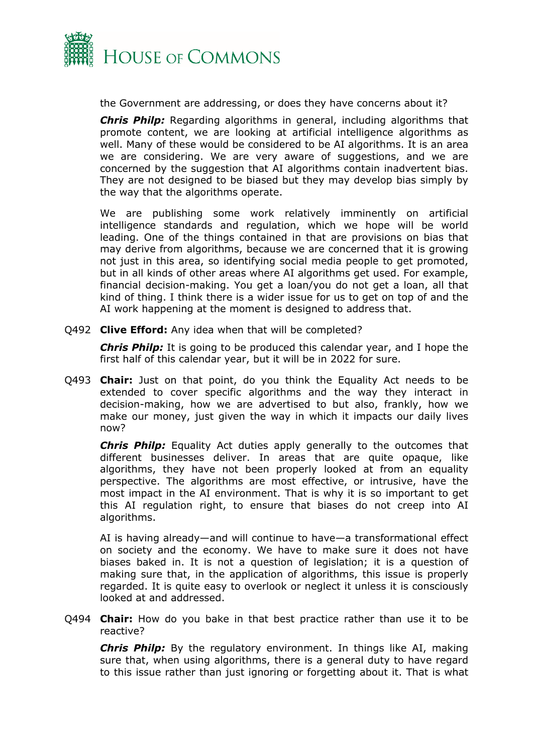

the Government are addressing, or does they have concerns about it?

*Chris Philp:* Regarding algorithms in general, including algorithms that promote content, we are looking at artificial intelligence algorithms as well. Many of these would be considered to be AI algorithms. It is an area we are considering. We are very aware of suggestions, and we are concerned by the suggestion that AI algorithms contain inadvertent bias. They are not designed to be biased but they may develop bias simply by the way that the algorithms operate.

We are publishing some work relatively imminently on artificial intelligence standards and regulation, which we hope will be world leading. One of the things contained in that are provisions on bias that may derive from algorithms, because we are concerned that it is growing not just in this area, so identifying social media people to get promoted, but in all kinds of other areas where AI algorithms get used. For example, financial decision-making. You get a loan/you do not get a loan, all that kind of thing. I think there is a wider issue for us to get on top of and the AI work happening at the moment is designed to address that.

Q492 **Clive Efford:** Any idea when that will be completed?

*Chris Philp:* It is going to be produced this calendar year, and I hope the first half of this calendar year, but it will be in 2022 for sure.

Q493 **Chair:** Just on that point, do you think the Equality Act needs to be extended to cover specific algorithms and the way they interact in decision-making, how we are advertised to but also, frankly, how we make our money, just given the way in which it impacts our daily lives now?

*Chris Philp:* Equality Act duties apply generally to the outcomes that different businesses deliver. In areas that are quite opaque, like algorithms, they have not been properly looked at from an equality perspective. The algorithms are most effective, or intrusive, have the most impact in the AI environment. That is why it is so important to get this AI regulation right, to ensure that biases do not creep into AI algorithms.

AI is having already—and will continue to have—a transformational effect on society and the economy. We have to make sure it does not have biases baked in. It is not a question of legislation; it is a question of making sure that, in the application of algorithms, this issue is properly regarded. It is quite easy to overlook or neglect it unless it is consciously looked at and addressed.

Q494 **Chair:** How do you bake in that best practice rather than use it to be reactive?

*Chris Philp:* By the regulatory environment. In things like AI, making sure that, when using algorithms, there is a general duty to have regard to this issue rather than just ignoring or forgetting about it. That is what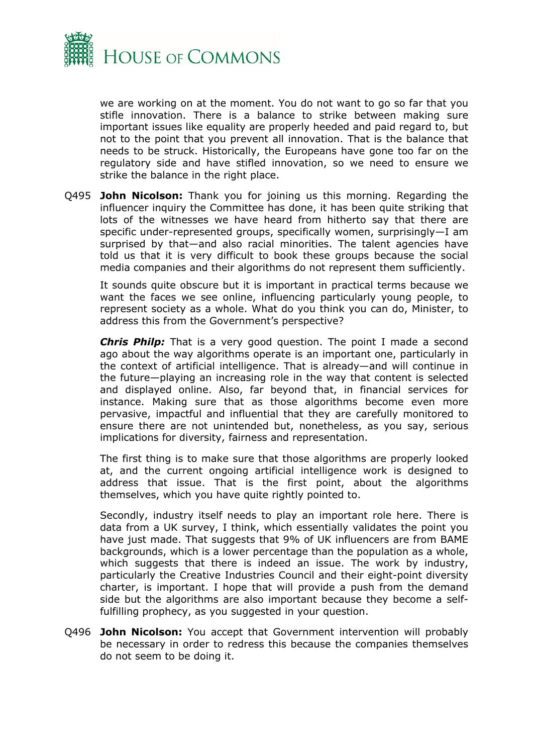

we are working on at the moment. You do not want to go so far that you stifle innovation. There is a balance to strike between making sure important issues like equality are properly heeded and paid regard to, but not to the point that you prevent all innovation. That is the balance that needs to be struck. Historically, the Europeans have gone too far on the regulatory side and have stifled innovation, so we need to ensure we strike the balance in the right place.

Q495 **John Nicolson:** Thank you for joining us this morning. Regarding the influencer inquiry the Committee has done, it has been quite striking that lots of the witnesses we have heard from hitherto say that there are specific under-represented groups, specifically women, surprisingly—I am surprised by that—and also racial minorities. The talent agencies have told us that it is very difficult to book these groups because the social media companies and their algorithms do not represent them sufficiently.

It sounds quite obscure but it is important in practical terms because we want the faces we see online, influencing particularly young people, to represent society as a whole. What do you think you can do, Minister, to address this from the Government's perspective?

*Chris Philp:* That is a very good question. The point I made a second ago about the way algorithms operate is an important one, particularly in the context of artificial intelligence. That is already—and will continue in the future—playing an increasing role in the way that content is selected and displayed online. Also, far beyond that, in financial services for instance. Making sure that as those algorithms become even more pervasive, impactful and influential that they are carefully monitored to ensure there are not unintended but, nonetheless, as you say, serious implications for diversity, fairness and representation.

The first thing is to make sure that those algorithms are properly looked at, and the current ongoing artificial intelligence work is designed to address that issue. That is the first point, about the algorithms themselves, which you have quite rightly pointed to.

Secondly, industry itself needs to play an important role here. There is data from a UK survey, I think, which essentially validates the point you have just made. That suggests that 9% of UK influencers are from BAME backgrounds, which is a lower percentage than the population as a whole, which suggests that there is indeed an issue. The work by industry, particularly the Creative Industries Council and their eight-point diversity charter, is important. I hope that will provide a push from the demand side but the algorithms are also important because they become a selffulfilling prophecy, as you suggested in your question.

Q496 **John Nicolson:** You accept that Government intervention will probably be necessary in order to redress this because the companies themselves do not seem to be doing it.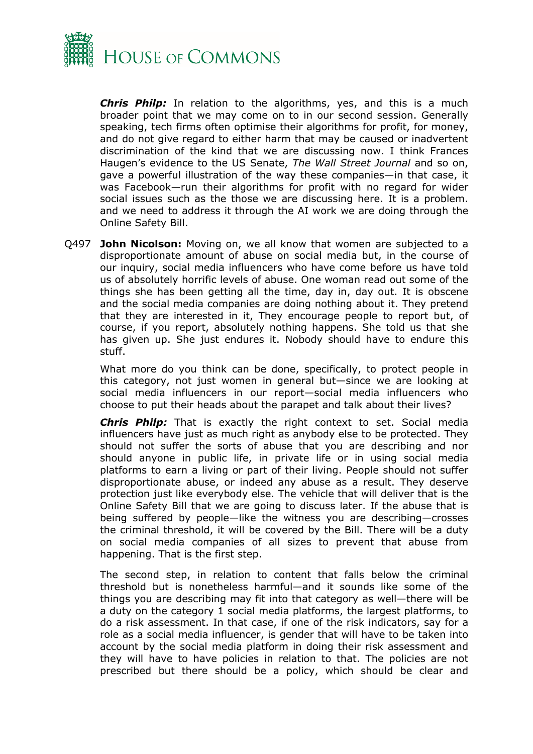

*Chris Philp:* In relation to the algorithms, yes, and this is a much broader point that we may come on to in our second session. Generally speaking, tech firms often optimise their algorithms for profit, for money, and do not give regard to either harm that may be caused or inadvertent discrimination of the kind that we are discussing now. I think Frances Haugen's evidence to the US Senate, *The Wall Street Journal* and so on, gave a powerful illustration of the way these companies—in that case, it was Facebook—run their algorithms for profit with no regard for wider social issues such as the those we are discussing here. It is a problem. and we need to address it through the AI work we are doing through the Online Safety Bill.

Q497 **John Nicolson:** Moving on, we all know that women are subjected to a disproportionate amount of abuse on social media but, in the course of our inquiry, social media influencers who have come before us have told us of absolutely horrific levels of abuse. One woman read out some of the things she has been getting all the time, day in, day out. It is obscene and the social media companies are doing nothing about it. They pretend that they are interested in it, They encourage people to report but, of course, if you report, absolutely nothing happens. She told us that she has given up. She just endures it. Nobody should have to endure this stuff.

What more do you think can be done, specifically, to protect people in this category, not just women in general but—since we are looking at social media influencers in our report—social media influencers who choose to put their heads about the parapet and talk about their lives?

*Chris Philp:* That is exactly the right context to set. Social media influencers have just as much right as anybody else to be protected. They should not suffer the sorts of abuse that you are describing and nor should anyone in public life, in private life or in using social media platforms to earn a living or part of their living. People should not suffer disproportionate abuse, or indeed any abuse as a result. They deserve protection just like everybody else. The vehicle that will deliver that is the Online Safety Bill that we are going to discuss later. If the abuse that is being suffered by people—like the witness you are describing—crosses the criminal threshold, it will be covered by the Bill. There will be a duty on social media companies of all sizes to prevent that abuse from happening. That is the first step.

The second step, in relation to content that falls below the criminal threshold but is nonetheless harmful—and it sounds like some of the things you are describing may fit into that category as well—there will be a duty on the category 1 social media platforms, the largest platforms, to do a risk assessment. In that case, if one of the risk indicators, say for a role as a social media influencer, is gender that will have to be taken into account by the social media platform in doing their risk assessment and they will have to have policies in relation to that. The policies are not prescribed but there should be a policy, which should be clear and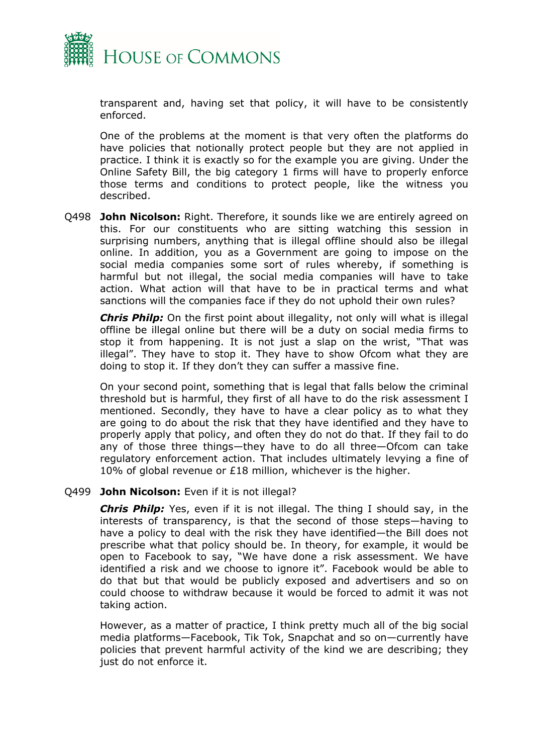

transparent and, having set that policy, it will have to be consistently enforced.

One of the problems at the moment is that very often the platforms do have policies that notionally protect people but they are not applied in practice. I think it is exactly so for the example you are giving. Under the Online Safety Bill, the big category 1 firms will have to properly enforce those terms and conditions to protect people, like the witness you described.

Q498 **John Nicolson:** Right. Therefore, it sounds like we are entirely agreed on this. For our constituents who are sitting watching this session in surprising numbers, anything that is illegal offline should also be illegal online. In addition, you as a Government are going to impose on the social media companies some sort of rules whereby, if something is harmful but not illegal, the social media companies will have to take action. What action will that have to be in practical terms and what sanctions will the companies face if they do not uphold their own rules?

*Chris Philp:* On the first point about illegality, not only will what is illegal offline be illegal online but there will be a duty on social media firms to stop it from happening. It is not just a slap on the wrist, "That was illegal". They have to stop it. They have to show Ofcom what they are doing to stop it. If they don't they can suffer a massive fine.

On your second point, something that is legal that falls below the criminal threshold but is harmful, they first of all have to do the risk assessment I mentioned. Secondly, they have to have a clear policy as to what they are going to do about the risk that they have identified and they have to properly apply that policy, and often they do not do that. If they fail to do any of those three things—they have to do all three—Ofcom can take regulatory enforcement action. That includes ultimately levying a fine of 10% of global revenue or £18 million, whichever is the higher.

Q499 **John Nicolson:** Even if it is not illegal?

*Chris Philp:* Yes, even if it is not illegal. The thing I should say, in the interests of transparency, is that the second of those steps—having to have a policy to deal with the risk they have identified—the Bill does not prescribe what that policy should be. In theory, for example, it would be open to Facebook to say, "We have done a risk assessment. We have identified a risk and we choose to ignore it". Facebook would be able to do that but that would be publicly exposed and advertisers and so on could choose to withdraw because it would be forced to admit it was not taking action.

However, as a matter of practice, I think pretty much all of the big social media platforms—Facebook, Tik Tok, Snapchat and so on—currently have policies that prevent harmful activity of the kind we are describing; they just do not enforce it.